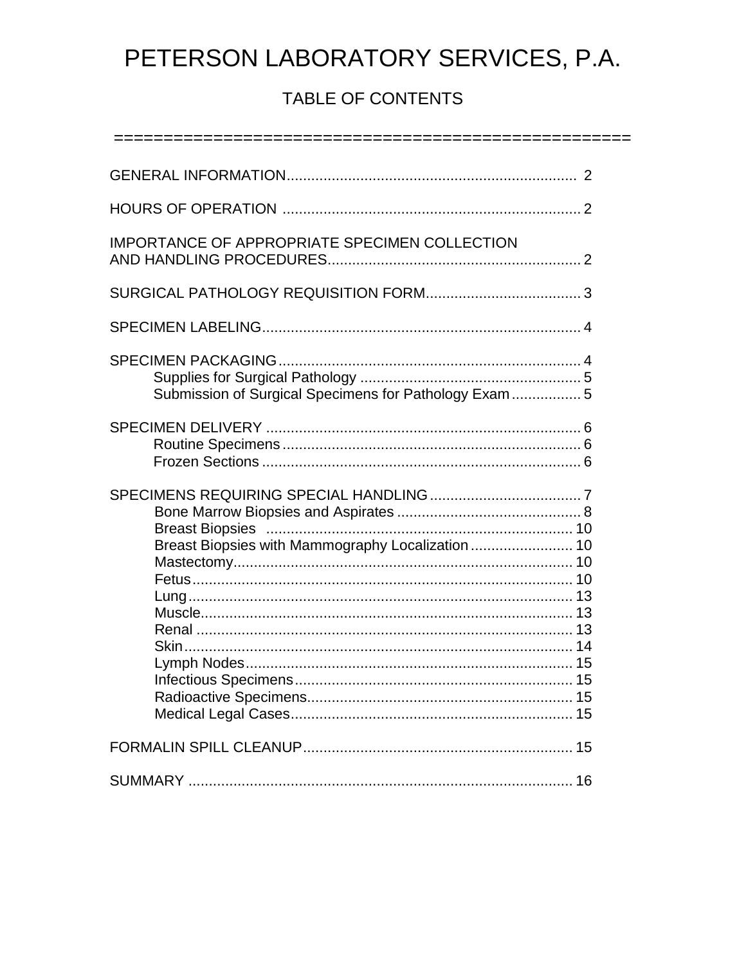# TABLE OF CONTENTS

| IMPORTANCE OF APPROPRIATE SPECIMEN COLLECTION          |  |
|--------------------------------------------------------|--|
|                                                        |  |
|                                                        |  |
| Submission of Surgical Specimens for Pathology Exam  5 |  |
|                                                        |  |
| Breast Biopsies with Mammography Localization  10      |  |
|                                                        |  |
|                                                        |  |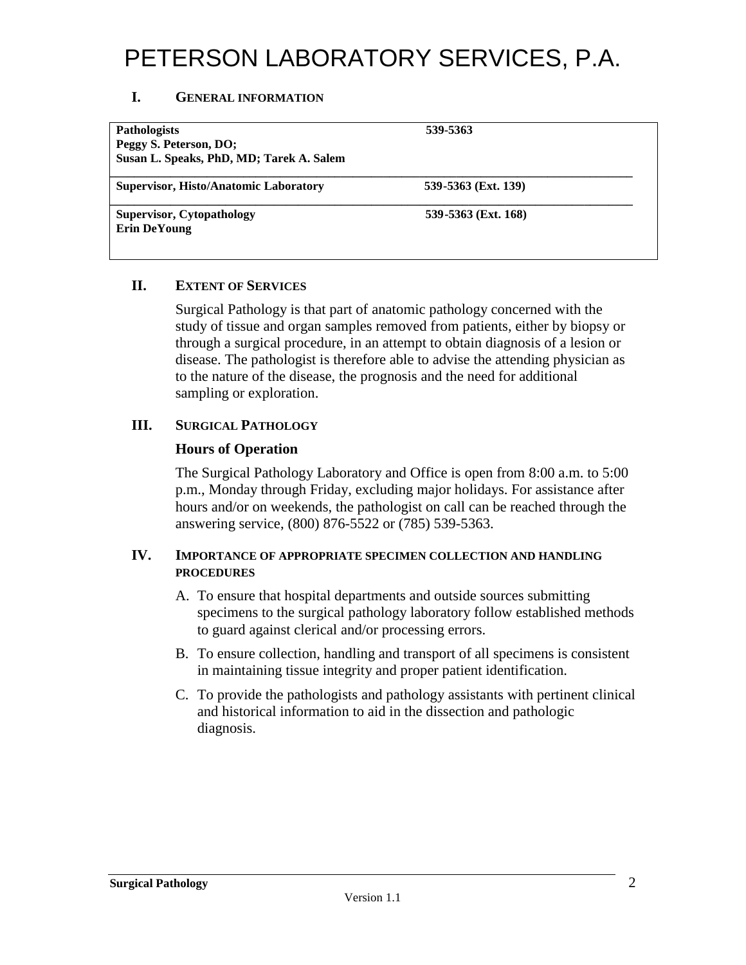#### **I. GENERAL INFORMATION**

| <b>Pathologists</b><br>Peggy S. Peterson, DO;<br>Susan L. Speaks, PhD, MD; Tarek A. Salem | 539-5363            |  |
|-------------------------------------------------------------------------------------------|---------------------|--|
| <b>Supervisor, Histo/Anatomic Laboratory</b>                                              | 539-5363 (Ext. 139) |  |
| <b>Supervisor, Cytopathology</b><br><b>Erin DeYoung</b>                                   | 539-5363 (Ext. 168) |  |

#### **II. EXTENT OF SERVICES**

 Surgical Pathology is that part of anatomic pathology concerned with the study of tissue and organ samples removed from patients, either by biopsy or through a surgical procedure, in an attempt to obtain diagnosis of a lesion or disease. The pathologist is therefore able to advise the attending physician as to the nature of the disease, the prognosis and the need for additional sampling or exploration.

#### **III. SURGICAL PATHOLOGY**

#### **Hours of Operation**

The Surgical Pathology Laboratory and Office is open from 8:00 a.m. to 5:00 p.m., Monday through Friday, excluding major holidays. For assistance after hours and/or on weekends, the pathologist on call can be reached through the answering service, (800) 876-5522 or (785) 539-5363.

#### **IV. IMPORTANCE OF APPROPRIATE SPECIMEN COLLECTION AND HANDLING PROCEDURES**

- A. To ensure that hospital departments and outside sources submitting specimens to the surgical pathology laboratory follow established methods to guard against clerical and/or processing errors.
- B. To ensure collection, handling and transport of all specimens is consistent in maintaining tissue integrity and proper patient identification.
- C. To provide the pathologists and pathology assistants with pertinent clinical and historical information to aid in the dissection and pathologic diagnosis.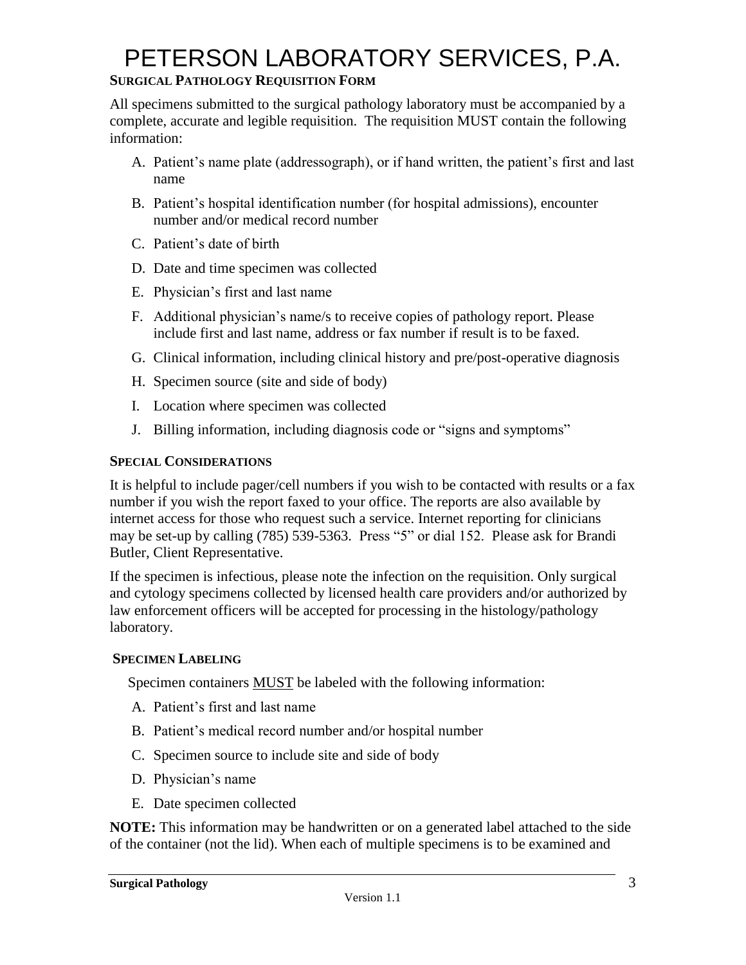### **SURGICAL PATHOLOGY REQUISITION FORM**

All specimens submitted to the surgical pathology laboratory must be accompanied by a complete, accurate and legible requisition. The requisition MUST contain the following information:

- A. Patient's name plate (addressograph), or if hand written, the patient's first and last name
- B. Patient's hospital identification number (for hospital admissions), encounter number and/or medical record number
- C. Patient's date of birth
- D. Date and time specimen was collected
- E. Physician's first and last name
- F. Additional physician's name/s to receive copies of pathology report. Please include first and last name, address or fax number if result is to be faxed.
- G. Clinical information, including clinical history and pre/post-operative diagnosis
- H. Specimen source (site and side of body)
- I. Location where specimen was collected
- J. Billing information, including diagnosis code or "signs and symptoms"

#### **SPECIAL CONSIDERATIONS**

It is helpful to include pager/cell numbers if you wish to be contacted with results or a fax number if you wish the report faxed to your office. The reports are also available by internet access for those who request such a service. Internet reporting for clinicians may be set-up by calling (785) 539-5363. Press "5" or dial 152. Please ask for Brandi Butler, Client Representative.

If the specimen is infectious, please note the infection on the requisition. Only surgical and cytology specimens collected by licensed health care providers and/or authorized by law enforcement officers will be accepted for processing in the histology/pathology laboratory.

#### **SPECIMEN LABELING**

Specimen containers MUST be labeled with the following information:

- A. Patient's first and last name
- B. Patient's medical record number and/or hospital number
- C. Specimen source to include site and side of body
- D. Physician's name
- E. Date specimen collected

**NOTE:** This information may be handwritten or on a generated label attached to the side of the container (not the lid). When each of multiple specimens is to be examined and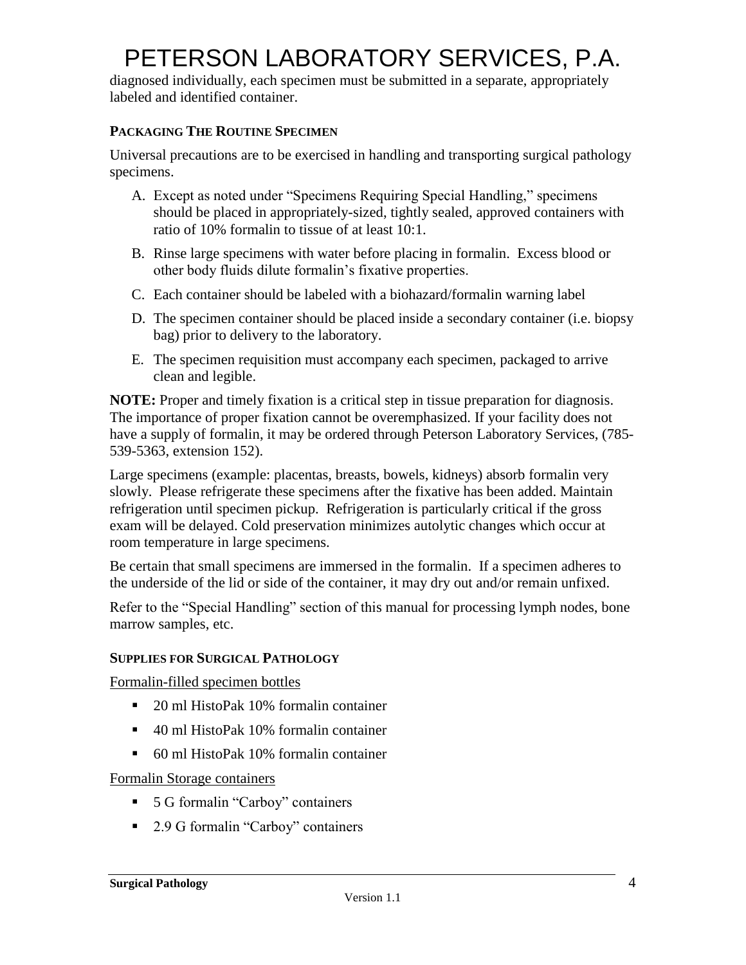diagnosed individually, each specimen must be submitted in a separate, appropriately labeled and identified container.

#### **PACKAGING THE ROUTINE SPECIMEN**

Universal precautions are to be exercised in handling and transporting surgical pathology specimens.

- A. Except as noted under "Specimens Requiring Special Handling," specimens should be placed in appropriately-sized, tightly sealed, approved containers with ratio of 10% formalin to tissue of at least 10:1.
- B. Rinse large specimens with water before placing in formalin. Excess blood or other body fluids dilute formalin's fixative properties.
- C. Each container should be labeled with a biohazard/formalin warning label
- D. The specimen container should be placed inside a secondary container (i.e. biopsy bag) prior to delivery to the laboratory.
- E. The specimen requisition must accompany each specimen, packaged to arrive clean and legible.

**NOTE:** Proper and timely fixation is a critical step in tissue preparation for diagnosis. The importance of proper fixation cannot be overemphasized. If your facility does not have a supply of formalin, it may be ordered through Peterson Laboratory Services, (785- 539-5363, extension 152).

Large specimens (example: placentas, breasts, bowels, kidneys) absorb formalin very slowly. Please refrigerate these specimens after the fixative has been added. Maintain refrigeration until specimen pickup. Refrigeration is particularly critical if the gross exam will be delayed. Cold preservation minimizes autolytic changes which occur at room temperature in large specimens.

Be certain that small specimens are immersed in the formalin. If a specimen adheres to the underside of the lid or side of the container, it may dry out and/or remain unfixed.

Refer to the "Special Handling" section of this manual for processing lymph nodes, bone marrow samples, etc.

#### **SUPPLIES FOR SURGICAL PATHOLOGY**

Formalin-filled specimen bottles

- 20 ml HistoPak 10% formalin container
- 40 ml HistoPak 10% formalin container
- 60 ml HistoPak 10% formalin container

Formalin Storage containers

- 5 G formalin "Carboy" containers
- 2.9 G formal in "Carboy" containers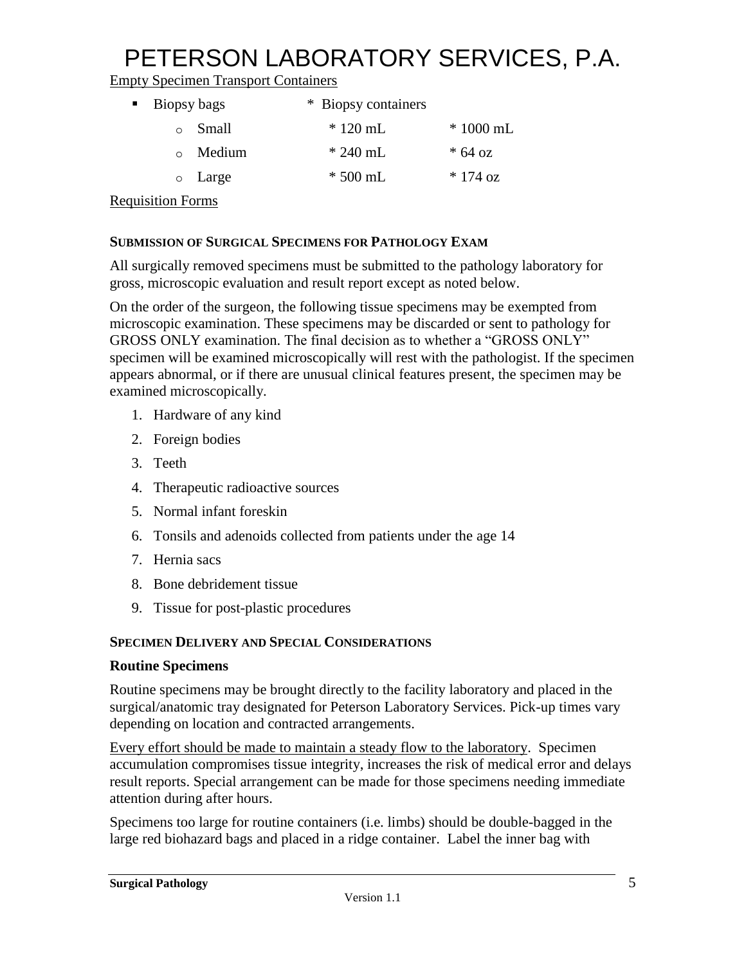Empty Specimen Transport Containers

| • Biopsy bags | * Biopsy containers |            |
|---------------|---------------------|------------|
| Small         | $*120$ mL           | $*1000$ mL |
| • Medium      | $* 240$ mL          | $* 64 oz$  |
| o Large       | $*500$ mL           | $*174$ oz  |

Requisition Forms

#### **SUBMISSION OF SURGICAL SPECIMENS FOR PATHOLOGY EXAM**

All surgically removed specimens must be submitted to the pathology laboratory for gross, microscopic evaluation and result report except as noted below.

On the order of the surgeon, the following tissue specimens may be exempted from microscopic examination. These specimens may be discarded or sent to pathology for GROSS ONLY examination. The final decision as to whether a "GROSS ONLY" specimen will be examined microscopically will rest with the pathologist. If the specimen appears abnormal, or if there are unusual clinical features present, the specimen may be examined microscopically.

- 1. Hardware of any kind
- 2. Foreign bodies
- 3. Teeth
- 4. Therapeutic radioactive sources
- 5. Normal infant foreskin
- 6. Tonsils and adenoids collected from patients under the age 14
- 7. Hernia sacs
- 8. Bone debridement tissue
- 9. Tissue for post-plastic procedures

### **SPECIMEN DELIVERY AND SPECIAL CONSIDERATIONS**

#### **Routine Specimens**

Routine specimens may be brought directly to the facility laboratory and placed in the surgical/anatomic tray designated for Peterson Laboratory Services. Pick-up times vary depending on location and contracted arrangements.

Every effort should be made to maintain a steady flow to the laboratory. Specimen accumulation compromises tissue integrity, increases the risk of medical error and delays result reports. Special arrangement can be made for those specimens needing immediate attention during after hours.

Specimens too large for routine containers (i.e. limbs) should be double-bagged in the large red biohazard bags and placed in a ridge container. Label the inner bag with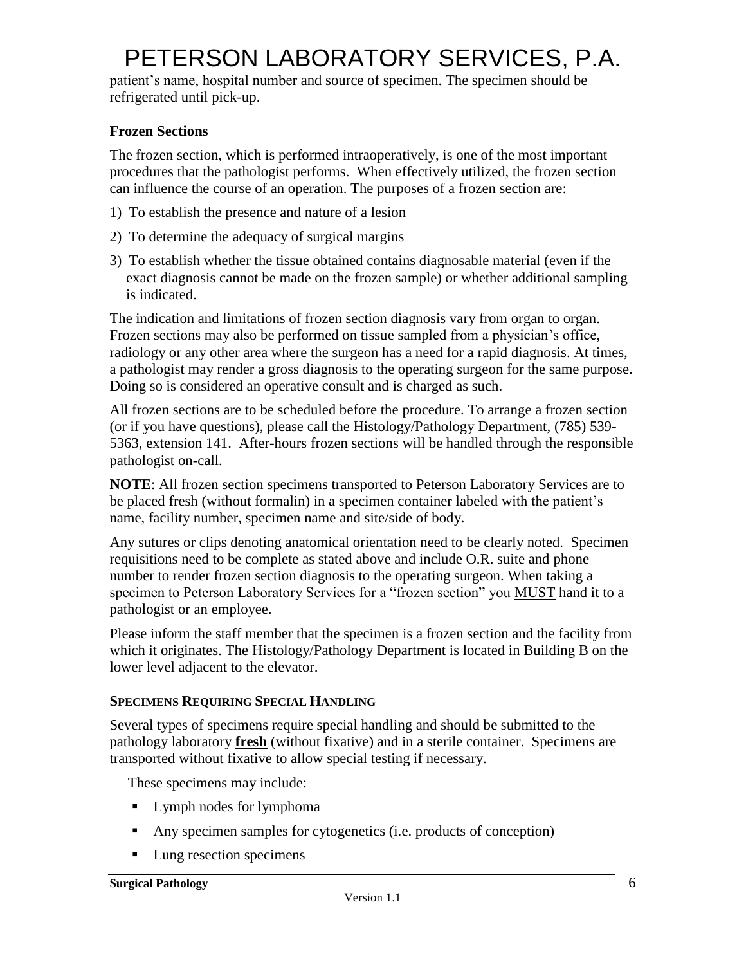patient's name, hospital number and source of specimen. The specimen should be refrigerated until pick-up.

### **Frozen Sections**

The frozen section, which is performed intraoperatively, is one of the most important procedures that the pathologist performs. When effectively utilized, the frozen section can influence the course of an operation. The purposes of a frozen section are:

- 1) To establish the presence and nature of a lesion
- 2) To determine the adequacy of surgical margins
- 3) To establish whether the tissue obtained contains diagnosable material (even if the exact diagnosis cannot be made on the frozen sample) or whether additional sampling is indicated.

The indication and limitations of frozen section diagnosis vary from organ to organ. Frozen sections may also be performed on tissue sampled from a physician's office, radiology or any other area where the surgeon has a need for a rapid diagnosis. At times, a pathologist may render a gross diagnosis to the operating surgeon for the same purpose. Doing so is considered an operative consult and is charged as such.

All frozen sections are to be scheduled before the procedure. To arrange a frozen section (or if you have questions), please call the Histology/Pathology Department, (785) 539- 5363, extension 141. After-hours frozen sections will be handled through the responsible pathologist on-call.

**NOTE**: All frozen section specimens transported to Peterson Laboratory Services are to be placed fresh (without formalin) in a specimen container labeled with the patient's name, facility number, specimen name and site/side of body.

Any sutures or clips denoting anatomical orientation need to be clearly noted. Specimen requisitions need to be complete as stated above and include O.R. suite and phone number to render frozen section diagnosis to the operating surgeon. When taking a specimen to Peterson Laboratory Services for a "frozen section" you MUST hand it to a pathologist or an employee.

Please inform the staff member that the specimen is a frozen section and the facility from which it originates. The Histology/Pathology Department is located in Building B on the lower level adjacent to the elevator.

### **SPECIMENS REQUIRING SPECIAL HANDLING**

Several types of specimens require special handling and should be submitted to the pathology laboratory **fresh** (without fixative) and in a sterile container. Specimens are transported without fixative to allow special testing if necessary.

These specimens may include:

- **Lymph nodes for lymphoma**
- Any specimen samples for cytogenetics (i.e. products of conception)
- **Lung resection specimens**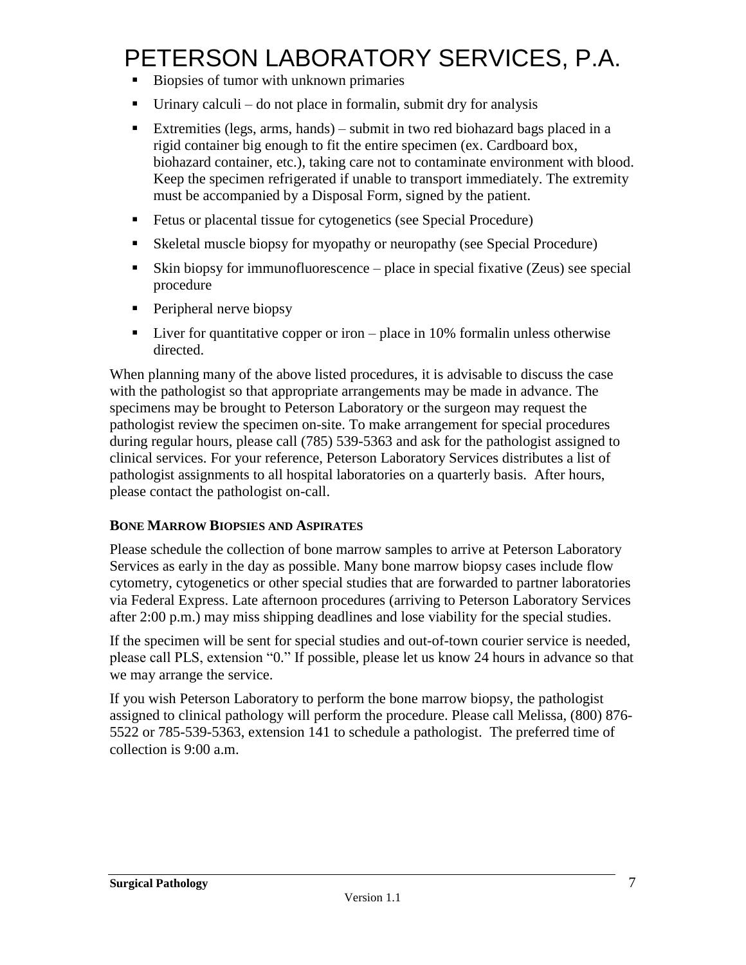- Biopsies of tumor with unknown primaries
- $\blacksquare$  Urinary calculi do not place in formalin, submit dry for analysis
- Extremities (legs, arms, hands) submit in two red biohazard bags placed in a rigid container big enough to fit the entire specimen (ex. Cardboard box, biohazard container, etc.), taking care not to contaminate environment with blood. Keep the specimen refrigerated if unable to transport immediately. The extremity must be accompanied by a Disposal Form, signed by the patient.
- Fetus or placental tissue for cytogenetics (see Special Procedure)
- Skeletal muscle biopsy for myopathy or neuropathy (see Special Procedure)
- Skin biopsy for immunofluorescence place in special fixative (Zeus) see special procedure
- **Peripheral nerve biopsy**
- $\blacksquare$  Liver for quantitative copper or iron place in 10% formalin unless otherwise directed.

When planning many of the above listed procedures, it is advisable to discuss the case with the pathologist so that appropriate arrangements may be made in advance. The specimens may be brought to Peterson Laboratory or the surgeon may request the pathologist review the specimen on-site. To make arrangement for special procedures during regular hours, please call (785) 539-5363 and ask for the pathologist assigned to clinical services. For your reference, Peterson Laboratory Services distributes a list of pathologist assignments to all hospital laboratories on a quarterly basis. After hours, please contact the pathologist on-call.

#### **BONE MARROW BIOPSIES AND ASPIRATES**

Please schedule the collection of bone marrow samples to arrive at Peterson Laboratory Services as early in the day as possible. Many bone marrow biopsy cases include flow cytometry, cytogenetics or other special studies that are forwarded to partner laboratories via Federal Express. Late afternoon procedures (arriving to Peterson Laboratory Services after 2:00 p.m.) may miss shipping deadlines and lose viability for the special studies.

If the specimen will be sent for special studies and out-of-town courier service is needed, please call PLS, extension "0." If possible, please let us know 24 hours in advance so that we may arrange the service.

If you wish Peterson Laboratory to perform the bone marrow biopsy, the pathologist assigned to clinical pathology will perform the procedure. Please call Melissa, (800) 876- 5522 or 785-539-5363, extension 141 to schedule a pathologist. The preferred time of collection is 9:00 a.m.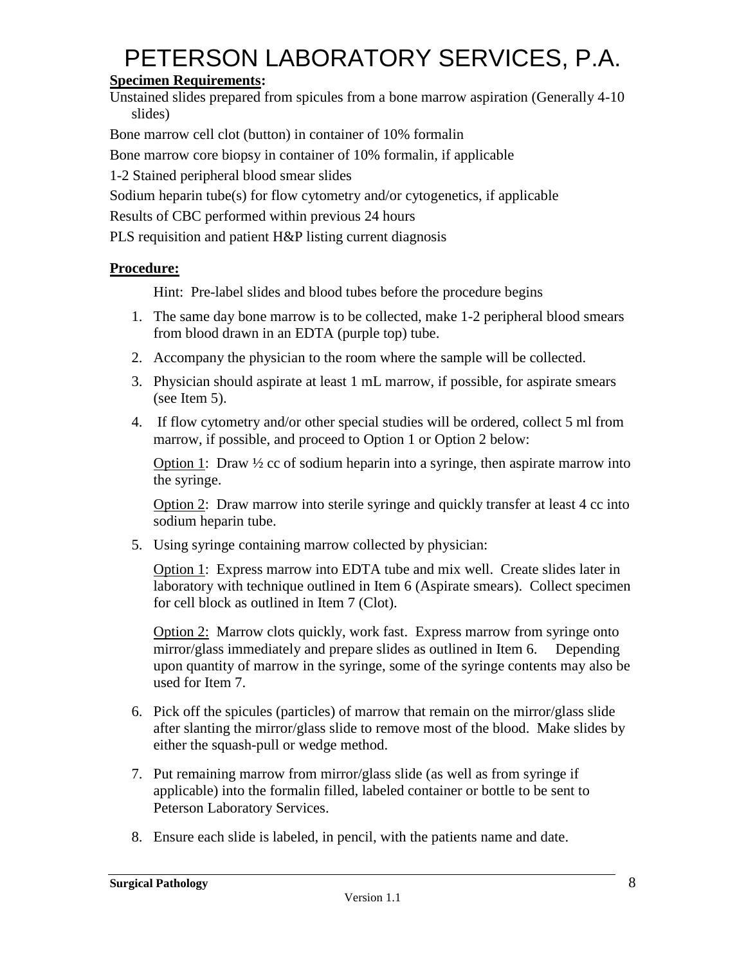## **Specimen Requirements:**

Unstained slides prepared from spicules from a bone marrow aspiration (Generally 4-10 slides)

Bone marrow cell clot (button) in container of 10% formalin

Bone marrow core biopsy in container of 10% formalin, if applicable

1-2 Stained peripheral blood smear slides

Sodium heparin tube(s) for flow cytometry and/or cytogenetics, if applicable

Results of CBC performed within previous 24 hours

PLS requisition and patient H&P listing current diagnosis

### **Procedure:**

Hint: Pre-label slides and blood tubes before the procedure begins

- 1. The same day bone marrow is to be collected, make 1-2 peripheral blood smears from blood drawn in an EDTA (purple top) tube.
- 2. Accompany the physician to the room where the sample will be collected.
- 3. Physician should aspirate at least 1 mL marrow, if possible, for aspirate smears (see Item 5).
- 4. If flow cytometry and/or other special studies will be ordered, collect 5 ml from marrow, if possible, and proceed to Option 1 or Option 2 below:

Option 1: Draw  $\frac{1}{2}$  cc of sodium heparin into a syringe, then aspirate marrow into the syringe.

Option 2: Draw marrow into sterile syringe and quickly transfer at least 4 cc into sodium heparin tube.

5. Using syringe containing marrow collected by physician:

Option 1: Express marrow into EDTA tube and mix well. Create slides later in laboratory with technique outlined in Item 6 (Aspirate smears). Collect specimen for cell block as outlined in Item 7 (Clot).

Option 2: Marrow clots quickly, work fast. Express marrow from syringe onto mirror/glass immediately and prepare slides as outlined in Item 6. Depending upon quantity of marrow in the syringe, some of the syringe contents may also be used for Item 7.

- 6. Pick off the spicules (particles) of marrow that remain on the mirror/glass slide after slanting the mirror/glass slide to remove most of the blood. Make slides by either the squash-pull or wedge method.
- 7. Put remaining marrow from mirror/glass slide (as well as from syringe if applicable) into the formalin filled, labeled container or bottle to be sent to Peterson Laboratory Services.
- 8. Ensure each slide is labeled, in pencil, with the patients name and date.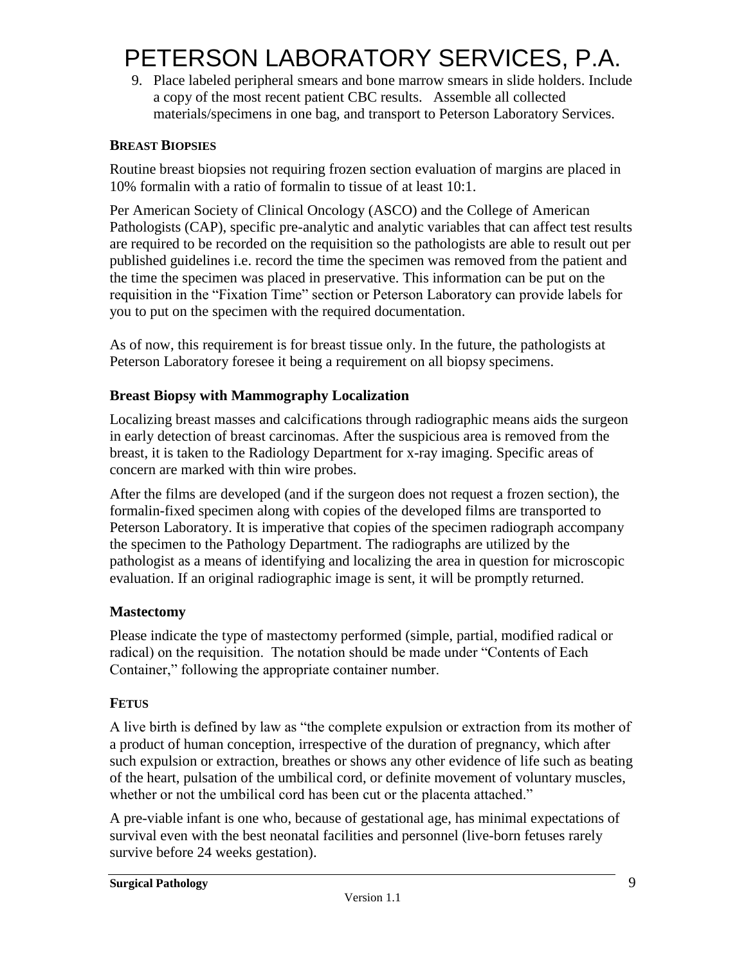9. Place labeled peripheral smears and bone marrow smears in slide holders. Include a copy of the most recent patient CBC results. Assemble all collected materials/specimens in one bag, and transport to Peterson Laboratory Services.

#### **BREAST BIOPSIES**

Routine breast biopsies not requiring frozen section evaluation of margins are placed in 10% formalin with a ratio of formalin to tissue of at least 10:1.

Per American Society of Clinical Oncology (ASCO) and the College of American Pathologists (CAP), specific pre-analytic and analytic variables that can affect test results are required to be recorded on the requisition so the pathologists are able to result out per published guidelines i.e. record the time the specimen was removed from the patient and the time the specimen was placed in preservative. This information can be put on the requisition in the "Fixation Time" section or Peterson Laboratory can provide labels for you to put on the specimen with the required documentation.

As of now, this requirement is for breast tissue only. In the future, the pathologists at Peterson Laboratory foresee it being a requirement on all biopsy specimens.

#### **Breast Biopsy with Mammography Localization**

Localizing breast masses and calcifications through radiographic means aids the surgeon in early detection of breast carcinomas. After the suspicious area is removed from the breast, it is taken to the Radiology Department for x-ray imaging. Specific areas of concern are marked with thin wire probes.

After the films are developed (and if the surgeon does not request a frozen section), the formalin-fixed specimen along with copies of the developed films are transported to Peterson Laboratory. It is imperative that copies of the specimen radiograph accompany the specimen to the Pathology Department. The radiographs are utilized by the pathologist as a means of identifying and localizing the area in question for microscopic evaluation. If an original radiographic image is sent, it will be promptly returned.

#### **Mastectomy**

Please indicate the type of mastectomy performed (simple, partial, modified radical or radical) on the requisition. The notation should be made under "Contents of Each Container," following the appropriate container number.

### **FETUS**

A live birth is defined by law as "the complete expulsion or extraction from its mother of a product of human conception, irrespective of the duration of pregnancy, which after such expulsion or extraction, breathes or shows any other evidence of life such as beating of the heart, pulsation of the umbilical cord, or definite movement of voluntary muscles, whether or not the umbilical cord has been cut or the placenta attached."

A pre-viable infant is one who, because of gestational age, has minimal expectations of survival even with the best neonatal facilities and personnel (live-born fetuses rarely survive before 24 weeks gestation).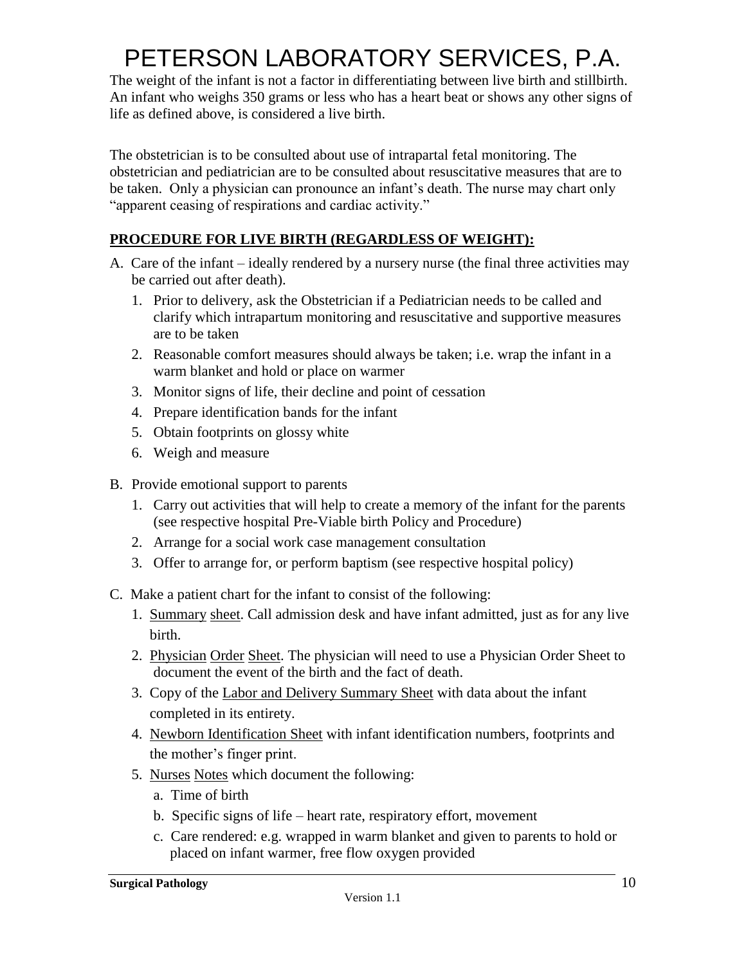The weight of the infant is not a factor in differentiating between live birth and stillbirth. An infant who weighs 350 grams or less who has a heart beat or shows any other signs of life as defined above, is considered a live birth.

The obstetrician is to be consulted about use of intrapartal fetal monitoring. The obstetrician and pediatrician are to be consulted about resuscitative measures that are to be taken. Only a physician can pronounce an infant's death. The nurse may chart only "apparent ceasing of respirations and cardiac activity."

### **PROCEDURE FOR LIVE BIRTH (REGARDLESS OF WEIGHT):**

- A. Care of the infant ideally rendered by a nursery nurse (the final three activities may be carried out after death).
	- 1. Prior to delivery, ask the Obstetrician if a Pediatrician needs to be called and clarify which intrapartum monitoring and resuscitative and supportive measures are to be taken
	- 2. Reasonable comfort measures should always be taken; i.e. wrap the infant in a warm blanket and hold or place on warmer
	- 3. Monitor signs of life, their decline and point of cessation
	- 4. Prepare identification bands for the infant
	- 5. Obtain footprints on glossy white
	- 6. Weigh and measure
- B. Provide emotional support to parents
	- 1. Carry out activities that will help to create a memory of the infant for the parents (see respective hospital Pre-Viable birth Policy and Procedure)
	- 2. Arrange for a social work case management consultation
	- 3. Offer to arrange for, or perform baptism (see respective hospital policy)
- C. Make a patient chart for the infant to consist of the following:
	- 1. Summary sheet. Call admission desk and have infant admitted, just as for any live birth.
	- 2. Physician Order Sheet. The physician will need to use a Physician Order Sheet to document the event of the birth and the fact of death.
	- 3. Copy of the Labor and Delivery Summary Sheet with data about the infant completed in its entirety.
	- 4. Newborn Identification Sheet with infant identification numbers, footprints and the mother's finger print.
	- 5. Nurses Notes which document the following:
		- a. Time of birth
		- b. Specific signs of life heart rate, respiratory effort, movement
		- c. Care rendered: e.g. wrapped in warm blanket and given to parents to hold or placed on infant warmer, free flow oxygen provided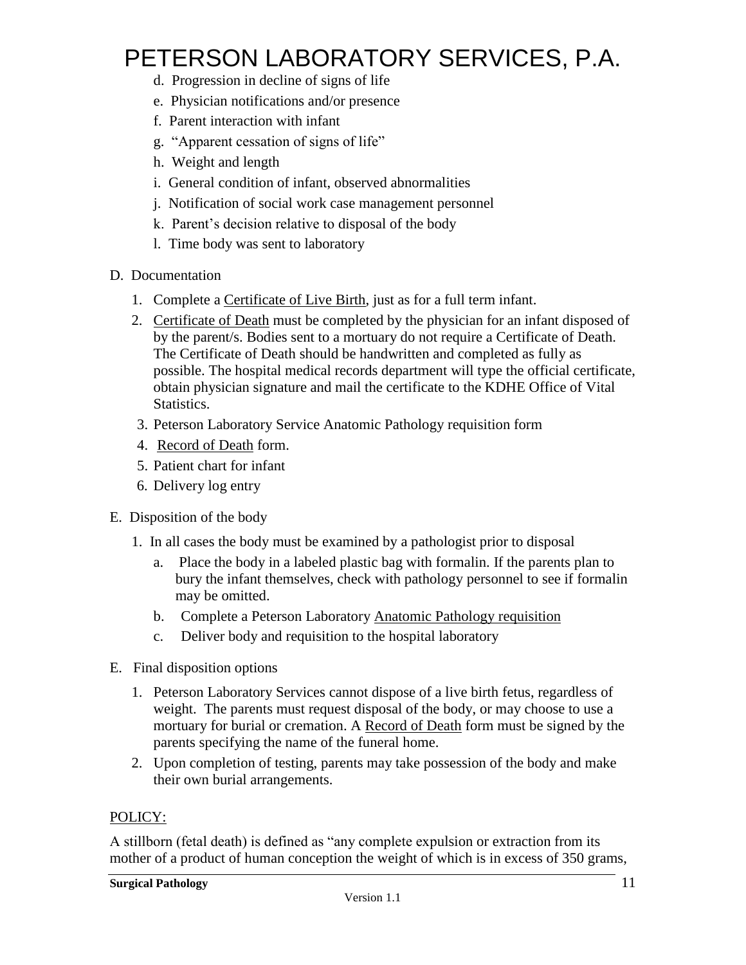- d. Progression in decline of signs of life
- e. Physician notifications and/or presence
- f. Parent interaction with infant
- g. "Apparent cessation of signs of life"
- h. Weight and length
- i. General condition of infant, observed abnormalities
- j. Notification of social work case management personnel
- k. Parent's decision relative to disposal of the body
- l. Time body was sent to laboratory

#### D. Documentation

- 1. Complete a Certificate of Live Birth, just as for a full term infant.
- 2. Certificate of Death must be completed by the physician for an infant disposed of by the parent/s. Bodies sent to a mortuary do not require a Certificate of Death. The Certificate of Death should be handwritten and completed as fully as possible. The hospital medical records department will type the official certificate, obtain physician signature and mail the certificate to the KDHE Office of Vital Statistics.
- 3. Peterson Laboratory Service Anatomic Pathology requisition form
- 4. Record of Death form.
- 5. Patient chart for infant
- 6. Delivery log entry

#### E. Disposition of the body

- 1. In all cases the body must be examined by a pathologist prior to disposal
	- a. Place the body in a labeled plastic bag with formalin. If the parents plan to bury the infant themselves, check with pathology personnel to see if formalin may be omitted.
	- b. Complete a Peterson Laboratory Anatomic Pathology requisition
	- c. Deliver body and requisition to the hospital laboratory
- E. Final disposition options
	- 1. Peterson Laboratory Services cannot dispose of a live birth fetus, regardless of weight. The parents must request disposal of the body, or may choose to use a mortuary for burial or cremation. A Record of Death form must be signed by the parents specifying the name of the funeral home.
	- 2. Upon completion of testing, parents may take possession of the body and make their own burial arrangements.

#### POLICY:

A stillborn (fetal death) is defined as "any complete expulsion or extraction from its mother of a product of human conception the weight of which is in excess of 350 grams,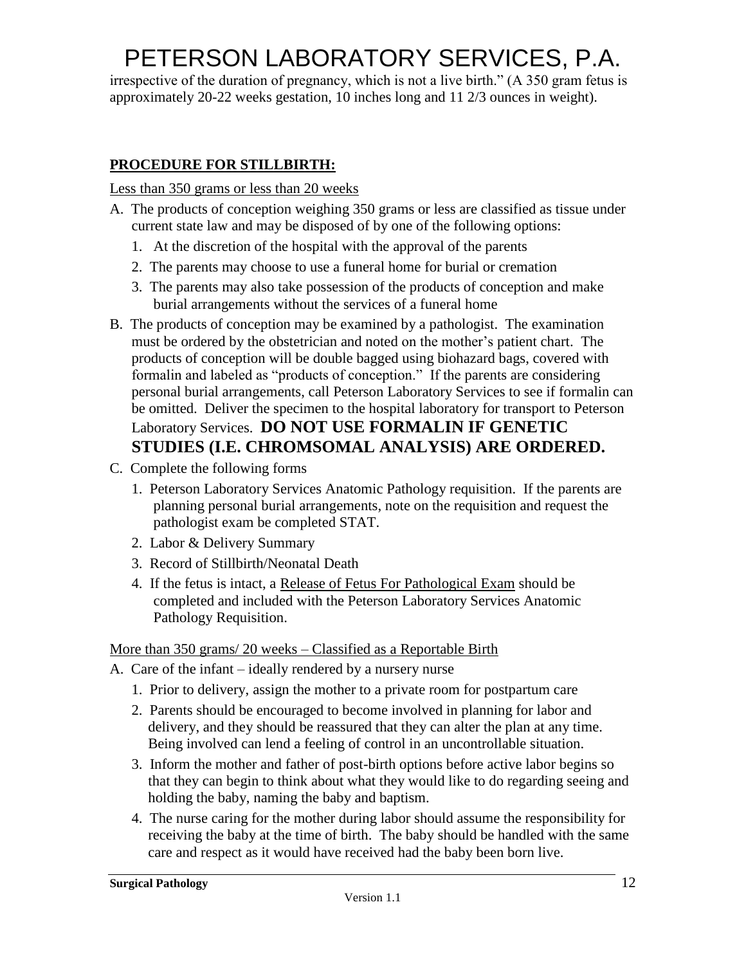irrespective of the duration of pregnancy, which is not a live birth." (A 350 gram fetus is approximately 20-22 weeks gestation, 10 inches long and 11 2/3 ounces in weight).

### **PROCEDURE FOR STILLBIRTH:**

Less than 350 grams or less than 20 weeks

- A. The products of conception weighing 350 grams or less are classified as tissue under current state law and may be disposed of by one of the following options:
	- 1. At the discretion of the hospital with the approval of the parents
	- 2. The parents may choose to use a funeral home for burial or cremation
	- 3. The parents may also take possession of the products of conception and make burial arrangements without the services of a funeral home
- B. The products of conception may be examined by a pathologist. The examination must be ordered by the obstetrician and noted on the mother's patient chart. The products of conception will be double bagged using biohazard bags, covered with formalin and labeled as "products of conception." If the parents are considering personal burial arrangements, call Peterson Laboratory Services to see if formalin can be omitted. Deliver the specimen to the hospital laboratory for transport to Peterson Laboratory Services. **DO NOT USE FORMALIN IF GENETIC STUDIES (I.E. CHROMSOMAL ANALYSIS) ARE ORDERED.**
- C. Complete the following forms
	- 1. Peterson Laboratory Services Anatomic Pathology requisition. If the parents are planning personal burial arrangements, note on the requisition and request the pathologist exam be completed STAT.
	- 2. Labor & Delivery Summary
	- 3. Record of Stillbirth/Neonatal Death
	- 4. If the fetus is intact, a Release of Fetus For Pathological Exam should be completed and included with the Peterson Laboratory Services Anatomic Pathology Requisition.

#### More than 350 grams/ 20 weeks – Classified as a Reportable Birth

- A. Care of the infant ideally rendered by a nursery nurse
	- 1. Prior to delivery, assign the mother to a private room for postpartum care
	- 2. Parents should be encouraged to become involved in planning for labor and delivery, and they should be reassured that they can alter the plan at any time. Being involved can lend a feeling of control in an uncontrollable situation.
	- 3. Inform the mother and father of post-birth options before active labor begins so that they can begin to think about what they would like to do regarding seeing and holding the baby, naming the baby and baptism.
	- 4. The nurse caring for the mother during labor should assume the responsibility for receiving the baby at the time of birth. The baby should be handled with the same care and respect as it would have received had the baby been born live.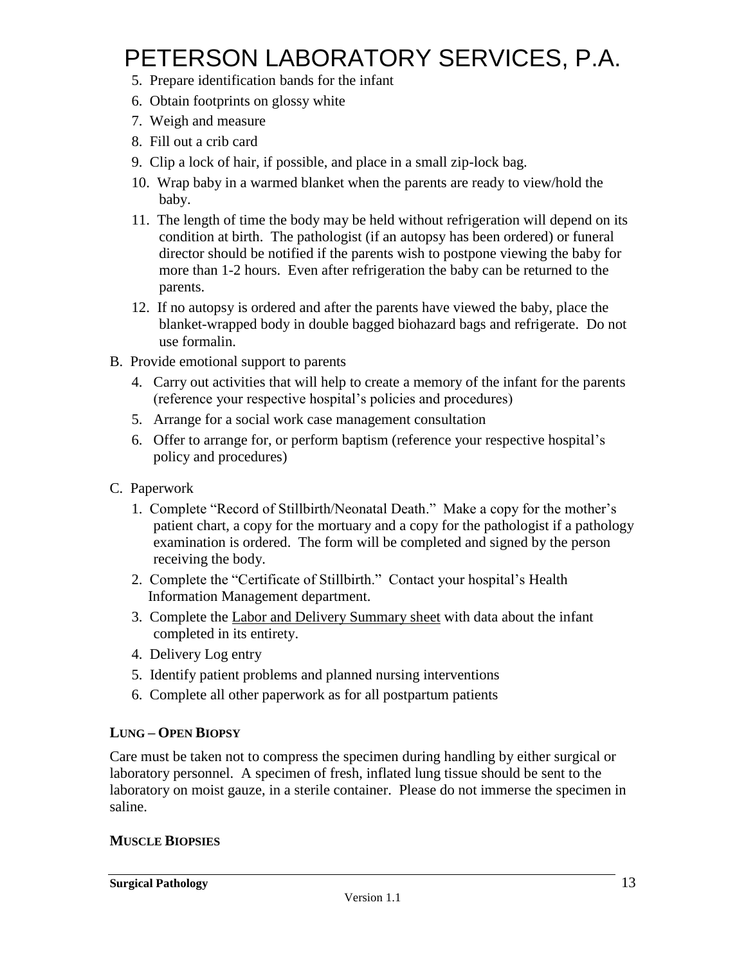- 5. Prepare identification bands for the infant
- 6. Obtain footprints on glossy white
- 7. Weigh and measure
- 8. Fill out a crib card
- 9. Clip a lock of hair, if possible, and place in a small zip-lock bag.
- 10. Wrap baby in a warmed blanket when the parents are ready to view/hold the baby.
- 11. The length of time the body may be held without refrigeration will depend on its condition at birth. The pathologist (if an autopsy has been ordered) or funeral director should be notified if the parents wish to postpone viewing the baby for more than 1-2 hours. Even after refrigeration the baby can be returned to the parents.
- 12. If no autopsy is ordered and after the parents have viewed the baby, place the blanket-wrapped body in double bagged biohazard bags and refrigerate. Do not use formalin.
- B. Provide emotional support to parents
	- 4. Carry out activities that will help to create a memory of the infant for the parents (reference your respective hospital's policies and procedures)
	- 5. Arrange for a social work case management consultation
	- 6. Offer to arrange for, or perform baptism (reference your respective hospital's policy and procedures)
- C. Paperwork
	- 1. Complete "Record of Stillbirth/Neonatal Death." Make a copy for the mother's patient chart, a copy for the mortuary and a copy for the pathologist if a pathology examination is ordered. The form will be completed and signed by the person receiving the body.
	- 2. Complete the "Certificate of Stillbirth." Contact your hospital's Health Information Management department.
	- 3. Complete the Labor and Delivery Summary sheet with data about the infant completed in its entirety.
	- 4. Delivery Log entry
	- 5. Identify patient problems and planned nursing interventions
	- 6. Complete all other paperwork as for all postpartum patients

#### **LUNG – OPEN BIOPSY**

Care must be taken not to compress the specimen during handling by either surgical or laboratory personnel. A specimen of fresh, inflated lung tissue should be sent to the laboratory on moist gauze, in a sterile container. Please do not immerse the specimen in saline.

#### **MUSCLE BIOPSIES**

**Surgical Pathology**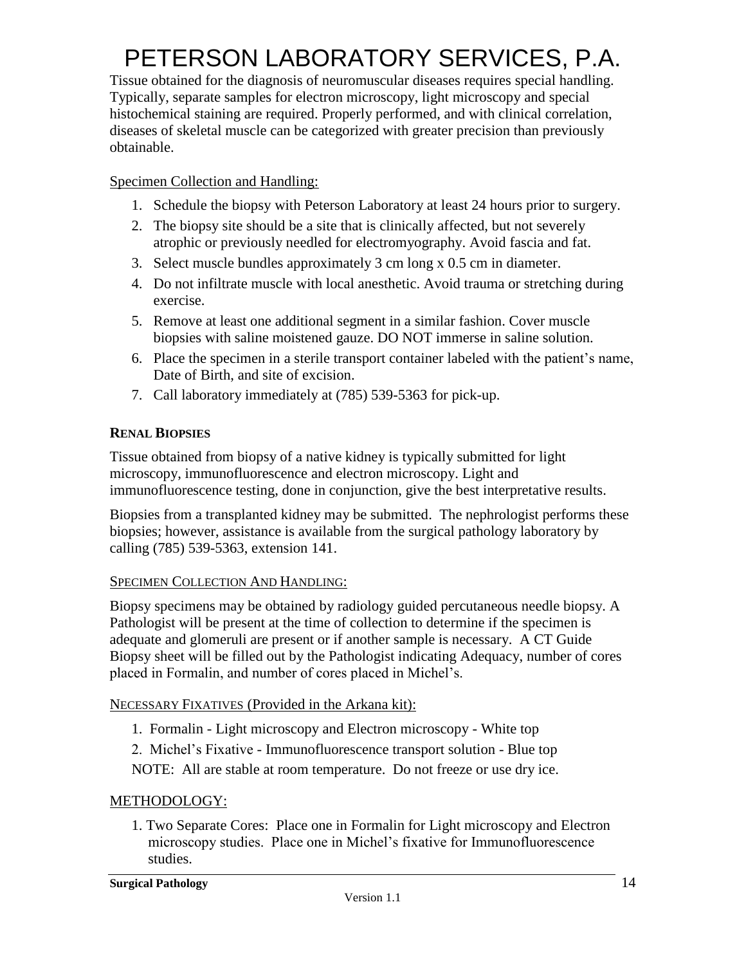Tissue obtained for the diagnosis of neuromuscular diseases requires special handling. Typically, separate samples for electron microscopy, light microscopy and special histochemical staining are required. Properly performed, and with clinical correlation, diseases of skeletal muscle can be categorized with greater precision than previously obtainable.

### Specimen Collection and Handling:

- 1. Schedule the biopsy with Peterson Laboratory at least 24 hours prior to surgery.
- 2. The biopsy site should be a site that is clinically affected, but not severely atrophic or previously needled for electromyography. Avoid fascia and fat.
- 3. Select muscle bundles approximately 3 cm long x 0.5 cm in diameter.
- 4. Do not infiltrate muscle with local anesthetic. Avoid trauma or stretching during exercise.
- 5. Remove at least one additional segment in a similar fashion. Cover muscle biopsies with saline moistened gauze. DO NOT immerse in saline solution.
- 6. Place the specimen in a sterile transport container labeled with the patient's name, Date of Birth, and site of excision.
- 7. Call laboratory immediately at (785) 539-5363 for pick-up.

### **RENAL BIOPSIES**

Tissue obtained from biopsy of a native kidney is typically submitted for light microscopy, immunofluorescence and electron microscopy. Light and immunofluorescence testing, done in conjunction, give the best interpretative results.

Biopsies from a transplanted kidney may be submitted. The nephrologist performs these biopsies; however, assistance is available from the surgical pathology laboratory by calling (785) 539-5363, extension 141.

### SPECIMEN COLLECTION AND HANDLING:

Biopsy specimens may be obtained by radiology guided percutaneous needle biopsy. A Pathologist will be present at the time of collection to determine if the specimen is adequate and glomeruli are present or if another sample is necessary. A CT Guide Biopsy sheet will be filled out by the Pathologist indicating Adequacy, number of cores placed in Formalin, and number of cores placed in Michel's.

### NECESSARY FIXATIVES (Provided in the Arkana kit):

- 1. Formalin Light microscopy and Electron microscopy White top
- 2. Michel's Fixative Immunofluorescence transport solution Blue top
- NOTE: All are stable at room temperature. Do not freeze or use dry ice.

### METHODOLOGY:

1. Two Separate Cores: Place one in Formalin for Light microscopy and Electron microscopy studies. Place one in Michel's fixative for Immunofluorescence studies.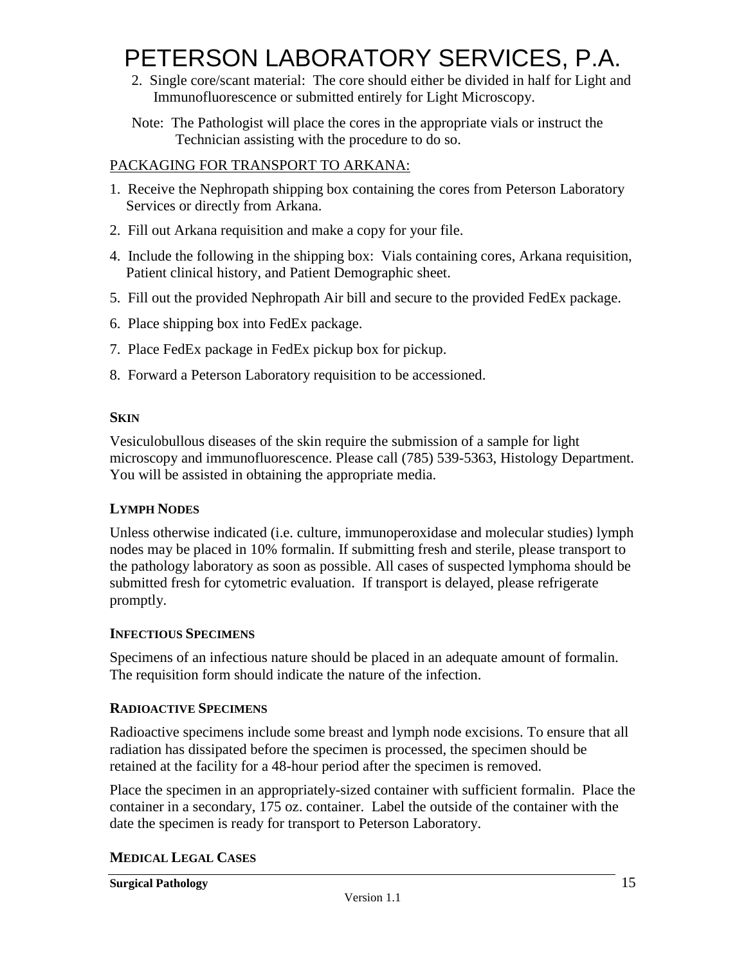2. Single core/scant material: The core should either be divided in half for Light and Immunofluorescence or submitted entirely for Light Microscopy.

Note: The Pathologist will place the cores in the appropriate vials or instruct the Technician assisting with the procedure to do so.

### PACKAGING FOR TRANSPORT TO ARKANA:

- 1. Receive the Nephropath shipping box containing the cores from Peterson Laboratory Services or directly from Arkana.
- 2. Fill out Arkana requisition and make a copy for your file.
- 4. Include the following in the shipping box: Vials containing cores, Arkana requisition, Patient clinical history, and Patient Demographic sheet.
- 5. Fill out the provided Nephropath Air bill and secure to the provided FedEx package.
- 6. Place shipping box into FedEx package.
- 7. Place FedEx package in FedEx pickup box for pickup.
- 8. Forward a Peterson Laboratory requisition to be accessioned.

#### **SKIN**

Vesiculobullous diseases of the skin require the submission of a sample for light microscopy and immunofluorescence. Please call (785) 539-5363, Histology Department. You will be assisted in obtaining the appropriate media.

### **LYMPH NODES**

Unless otherwise indicated (i.e. culture, immunoperoxidase and molecular studies) lymph nodes may be placed in 10% formalin. If submitting fresh and sterile, please transport to the pathology laboratory as soon as possible. All cases of suspected lymphoma should be submitted fresh for cytometric evaluation. If transport is delayed, please refrigerate promptly.

#### **INFECTIOUS SPECIMENS**

Specimens of an infectious nature should be placed in an adequate amount of formalin. The requisition form should indicate the nature of the infection.

#### **RADIOACTIVE SPECIMENS**

Radioactive specimens include some breast and lymph node excisions. To ensure that all radiation has dissipated before the specimen is processed, the specimen should be retained at the facility for a 48-hour period after the specimen is removed.

Place the specimen in an appropriately-sized container with sufficient formalin. Place the container in a secondary, 175 oz. container. Label the outside of the container with the date the specimen is ready for transport to Peterson Laboratory.

### **MEDICAL LEGAL CASES**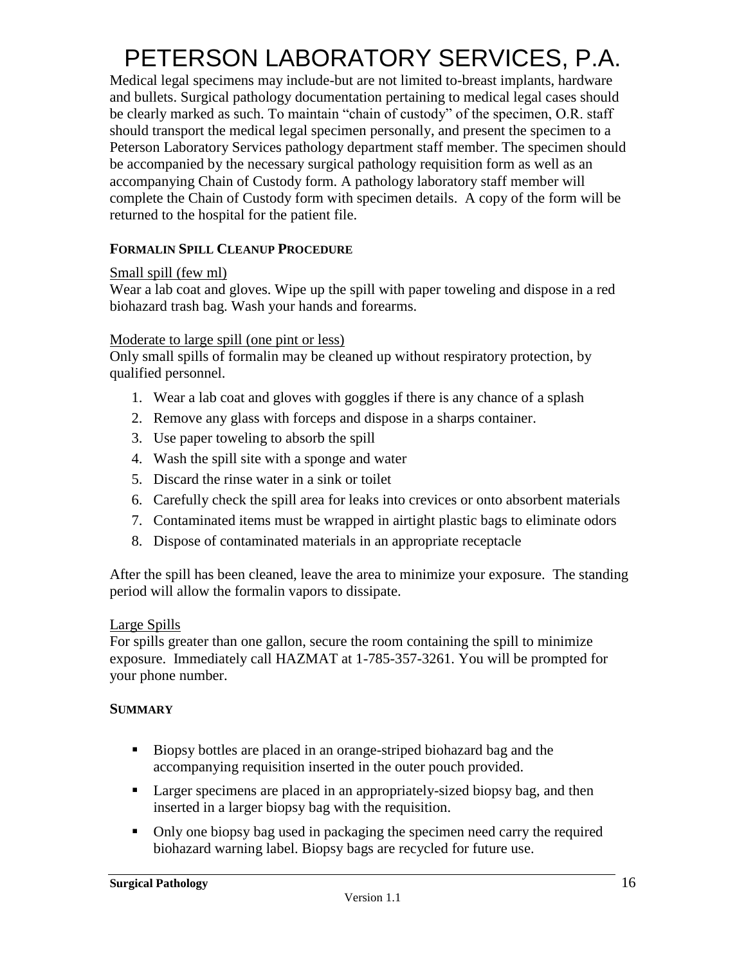Medical legal specimens may include-but are not limited to-breast implants, hardware and bullets. Surgical pathology documentation pertaining to medical legal cases should be clearly marked as such. To maintain "chain of custody" of the specimen, O.R. staff should transport the medical legal specimen personally, and present the specimen to a Peterson Laboratory Services pathology department staff member. The specimen should be accompanied by the necessary surgical pathology requisition form as well as an accompanying Chain of Custody form. A pathology laboratory staff member will complete the Chain of Custody form with specimen details. A copy of the form will be returned to the hospital for the patient file.

### **FORMALIN SPILL CLEANUP PROCEDURE**

#### Small spill (few ml)

Wear a lab coat and gloves. Wipe up the spill with paper toweling and dispose in a red biohazard trash bag. Wash your hands and forearms.

#### Moderate to large spill (one pint or less)

Only small spills of formalin may be cleaned up without respiratory protection, by qualified personnel.

- 1. Wear a lab coat and gloves with goggles if there is any chance of a splash
- 2. Remove any glass with forceps and dispose in a sharps container.
- 3. Use paper toweling to absorb the spill
- 4. Wash the spill site with a sponge and water
- 5. Discard the rinse water in a sink or toilet
- 6. Carefully check the spill area for leaks into crevices or onto absorbent materials
- 7. Contaminated items must be wrapped in airtight plastic bags to eliminate odors
- 8. Dispose of contaminated materials in an appropriate receptacle

After the spill has been cleaned, leave the area to minimize your exposure. The standing period will allow the formalin vapors to dissipate.

#### Large Spills

For spills greater than one gallon, secure the room containing the spill to minimize exposure. Immediately call HAZMAT at 1-785-357-3261. You will be prompted for your phone number.

#### **SUMMARY**

- Biopsy bottles are placed in an orange-striped biohazard bag and the accompanying requisition inserted in the outer pouch provided.
- **Larger specimens are placed in an appropriately-sized biopsy bag, and then** inserted in a larger biopsy bag with the requisition.
- Only one biopsy bag used in packaging the specimen need carry the required biohazard warning label. Biopsy bags are recycled for future use.